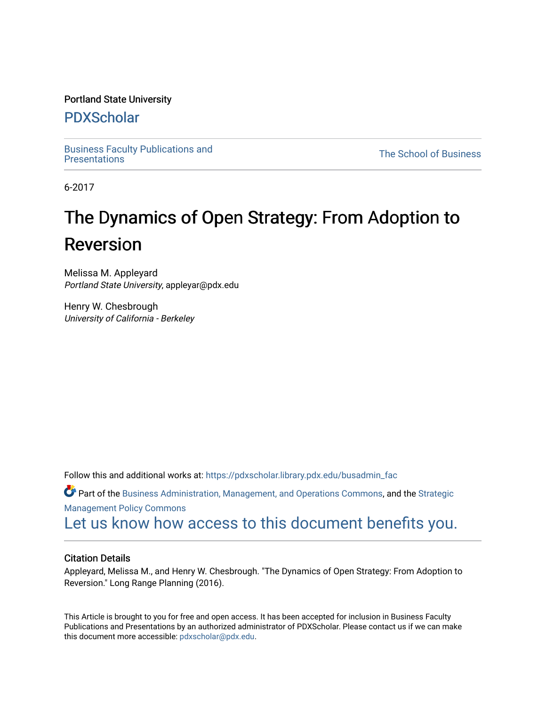## Portland State University

# [PDXScholar](https://pdxscholar.library.pdx.edu/)

[Business Faculty Publications and](https://pdxscholar.library.pdx.edu/busadmin_fac) 

**The School of Business** 

6-2017

# The Dynamics of Open Strategy: From Adoption to Reversion

Melissa M. Appleyard Portland State University, appleyar@pdx.edu

Henry W. Chesbrough University of California - Berkeley

Follow this and additional works at: [https://pdxscholar.library.pdx.edu/busadmin\\_fac](https://pdxscholar.library.pdx.edu/busadmin_fac?utm_source=pdxscholar.library.pdx.edu%2Fbusadmin_fac%2F41&utm_medium=PDF&utm_campaign=PDFCoverPages) 

Part of the [Business Administration, Management, and Operations Commons](http://network.bepress.com/hgg/discipline/623?utm_source=pdxscholar.library.pdx.edu%2Fbusadmin_fac%2F41&utm_medium=PDF&utm_campaign=PDFCoverPages), and the [Strategic](http://network.bepress.com/hgg/discipline/642?utm_source=pdxscholar.library.pdx.edu%2Fbusadmin_fac%2F41&utm_medium=PDF&utm_campaign=PDFCoverPages) [Management Policy Commons](http://network.bepress.com/hgg/discipline/642?utm_source=pdxscholar.library.pdx.edu%2Fbusadmin_fac%2F41&utm_medium=PDF&utm_campaign=PDFCoverPages) 

[Let us know how access to this document benefits you.](http://library.pdx.edu/services/pdxscholar-services/pdxscholar-feedback/?ref=https://pdxscholar.library.pdx.edu/busadmin_fac/41) 

### Citation Details

Appleyard, Melissa M., and Henry W. Chesbrough. "The Dynamics of Open Strategy: From Adoption to Reversion." Long Range Planning (2016).

This Article is brought to you for free and open access. It has been accepted for inclusion in Business Faculty Publications and Presentations by an authorized administrator of PDXScholar. Please contact us if we can make this document more accessible: [pdxscholar@pdx.edu.](mailto:pdxscholar@pdx.edu)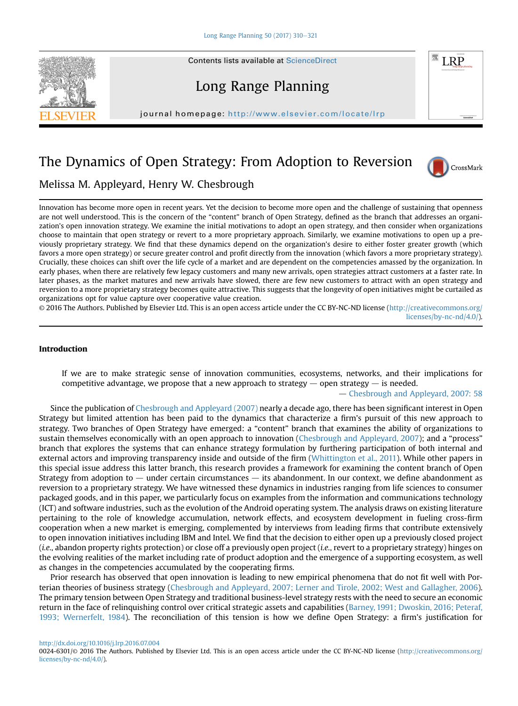# Long Range Planning

journal homepage: [http://www.elsevier.com/locate/lrp](http://http://www.elsevier.com/locate/lrp)p/ $\mathcal{N}$ 

# The Dynamics of Open Strategy: From Adoption to Reversion



LRP

Melissa M. Appleyard, Henry W. Chesbrough

Innovation has become more open in recent years. Yet the decision to become more open and the challenge of sustaining that openness are not well understood. This is the concern of the "content" branch of Open Strategy, defined as the branch that addresses an organization's open innovation strategy. We examine the initial motivations to adopt an open strategy, and then consider when organizations choose to maintain that open strategy or revert to a more proprietary approach. Similarly, we examine motivations to open up a previously proprietary strategy. We find that these dynamics depend on the organization's desire to either foster greater growth (which favors a more open strategy) or secure greater control and profit directly from the innovation (which favors a more proprietary strategy). Crucially, these choices can shift over the life cycle of a market and are dependent on the competencies amassed by the organization. In early phases, when there are relatively few legacy customers and many new arrivals, open strategies attract customers at a faster rate. In later phases, as the market matures and new arrivals have slowed, there are few new customers to attract with an open strategy and reversion to a more proprietary strategy becomes quite attractive. This suggests that the longevity of open initiatives might be curtailed as organizations opt for value capture over cooperative value creation.

© 2016 The Authors. Published by Elsevier Ltd. This is an open access article under the CC BY-NC-ND license [\(http://creativecommons.org/](http://creativecommons.org/licenses/by-nc-nd/4.0/) [licenses/by-nc-nd/4.0/\)](http://creativecommons.org/licenses/by-nc-nd/4.0/).

#### Introduction

If we are to make strategic sense of innovation communities, ecosystems, networks, and their implications for competitive advantage, we propose that a new approach to strategy  $-$  open strategy  $-$  is needed.

#### - [Chesbrough and Appleyard, 2007: 58](#page-11-0)

Since the publication of [Chesbrough and Appleyard \(2007\)](#page-11-0) nearly a decade ago, there has been significant interest in Open Strategy but limited attention has been paid to the dynamics that characterize a firm's pursuit of this new approach to strategy. Two branches of Open Strategy have emerged: a "content" branch that examines the ability of organizations to sustain themselves economically with an open approach to innovation [\(Chesbrough and Appleyard, 2007](#page-11-0)); and a "process" branch that explores the systems that can enhance strategy formulation by furthering participation of both internal and external actors and improving transparency inside and outside of the firm ([Whittington et al., 2011\)](#page-12-0). While other papers in this special issue address this latter branch, this research provides a framework for examining the content branch of Open Strategy from adoption to  $-$  under certain circumstances  $-$  its abandonment. In our context, we define abandonment as reversion to a proprietary strategy. We have witnessed these dynamics in industries ranging from life sciences to consumer packaged goods, and in this paper, we particularly focus on examples from the information and communications technology (ICT) and software industries, such as the evolution of the Android operating system. The analysis draws on existing literature pertaining to the role of knowledge accumulation, network effects, and ecosystem development in fueling cross-firm cooperation when a new market is emerging, complemented by interviews from leading firms that contribute extensively to open innovation initiatives including IBM and Intel. We find that the decision to either open up a previously closed project (i.e., abandon property rights protection) or close off a previously open project (i.e., revert to a proprietary strategy) hinges on the evolving realities of the market including rate of product adoption and the emergence of a supporting ecosystem, as well as changes in the competencies accumulated by the cooperating firms.

Prior research has observed that open innovation is leading to new empirical phenomena that do not fit well with Porterian theories of business strategy [\(Chesbrough and Appleyard, 2007; Lerner and Tirole, 2002; West and Gallagher, 2006](#page-11-0)). The primary tension between Open Strategy and traditional business-level strategy rests with the need to secure an economic return in the face of relinquishing control over critical strategic assets and capabilities ([Barney, 1991; Dwoskin, 2016; Peteraf,](#page-11-0) [1993; Wernerfelt, 1984\)](#page-11-0). The reconciliation of this tension is how we define Open Strategy: a firm's justification for

0024-6301/© 2016 The Authors. Published by Elsevier Ltd. This is an open access article under the CC BY-NC-ND license [\(http://creativecommons.org/](http://creativecommons.org/licenses/by-nc-nd/4.0/) [licenses/by-nc-nd/4.0/](http://creativecommons.org/licenses/by-nc-nd/4.0/)).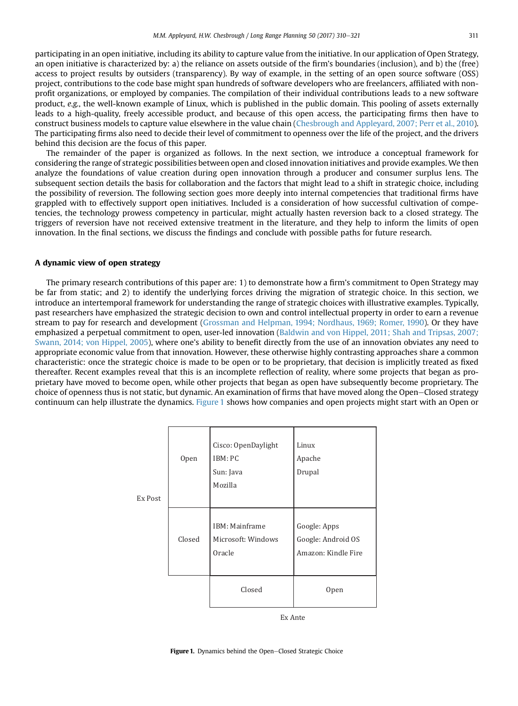<span id="page-2-0"></span>participating in an open initiative, including its ability to capture value from the initiative. In our application of Open Strategy, an open initiative is characterized by: a) the reliance on assets outside of the firm's boundaries (inclusion), and b) the (free) access to project results by outsiders (transparency). By way of example, in the setting of an open source software (OSS) project, contributions to the code base might span hundreds of software developers who are freelancers, affiliated with nonprofit organizations, or employed by companies. The compilation of their individual contributions leads to a new software product, e.g., the well-known example of Linux, which is published in the public domain. This pooling of assets externally leads to a high-quality, freely accessible product, and because of this open access, the participating firms then have to construct business models to capture value elsewhere in the value chain [\(Chesbrough and Appleyard, 2007; Perr et al., 2010](#page-11-0)). The participating firms also need to decide their level of commitment to openness over the life of the project, and the drivers behind this decision are the focus of this paper.

The remainder of the paper is organized as follows. In the next section, we introduce a conceptual framework for considering the range of strategic possibilities between open and closed innovation initiatives and provide examples. We then analyze the foundations of value creation during open innovation through a producer and consumer surplus lens. The subsequent section details the basis for collaboration and the factors that might lead to a shift in strategic choice, including the possibility of reversion. The following section goes more deeply into internal competencies that traditional firms have grappled with to effectively support open initiatives. Included is a consideration of how successful cultivation of competencies, the technology prowess competency in particular, might actually hasten reversion back to a closed strategy. The triggers of reversion have not received extensive treatment in the literature, and they help to inform the limits of open innovation. In the final sections, we discuss the findings and conclude with possible paths for future research.

#### A dynamic view of open strategy

The primary research contributions of this paper are: 1) to demonstrate how a firm's commitment to Open Strategy may be far from static; and 2) to identify the underlying forces driving the migration of strategic choice. In this section, we introduce an intertemporal framework for understanding the range of strategic choices with illustrative examples. Typically, past researchers have emphasized the strategic decision to own and control intellectual property in order to earn a revenue stream to pay for research and development ([Grossman and Helpman, 1994; Nordhaus, 1969; Romer, 1990\)](#page-11-0). Or they have emphasized a perpetual commitment to open, user-led innovation ([Baldwin and von Hippel, 2011; Shah and Tripsas, 2007;](#page-11-0) [Swann, 2014; von Hippel, 2005\)](#page-11-0), where one's ability to benefit directly from the use of an innovation obviates any need to appropriate economic value from that innovation. However, these otherwise highly contrasting approaches share a common characteristic: once the strategic choice is made to be open or to be proprietary, that decision is implicitly treated as fixed thereafter. Recent examples reveal that this is an incomplete reflection of reality, where some projects that began as proprietary have moved to become open, while other projects that began as open have subsequently become proprietary. The choice of openness thus is not static, but dynamic. An examination of firms that have moved along the Open–Closed strategy continuum can help illustrate the dynamics. Figure 1 shows how companies and open projects might start with an Open or

| Ex Post | Open    | Cisco: OpenDaylight<br>IBM: PC<br>Sun: Java<br>Mozilla | Linux<br>Apache<br>Drupal                                 |
|---------|---------|--------------------------------------------------------|-----------------------------------------------------------|
|         | Closed  | IBM: Mainframe<br>Microsoft: Windows<br>Oracle         | Google: Apps<br>Google: Android OS<br>Amazon: Kindle Fire |
|         |         | Closed                                                 | <b>Open</b>                                               |
|         | Ex Ante |                                                        |                                                           |

Figure 1. Dynamics behind the Open-Closed Strategic Choice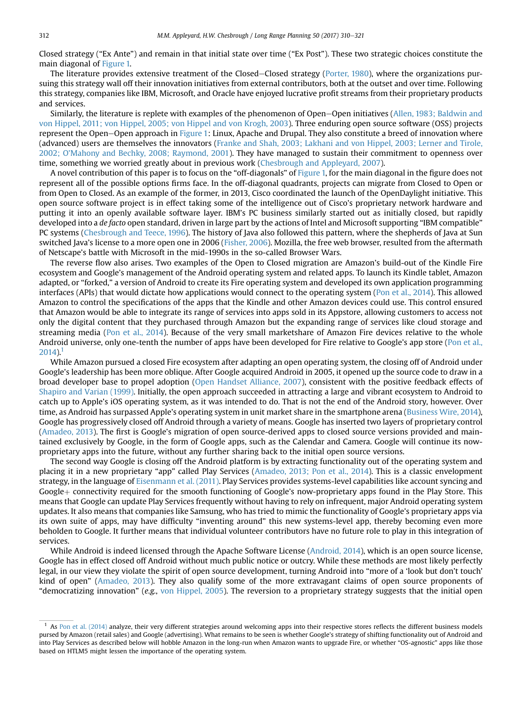Closed strategy ("Ex Ante") and remain in that initial state over time ("Ex Post"). These two strategic choices constitute the main diagonal of [Figure 1.](#page-2-0)

The literature provides extensive treatment of the Closed–Closed strategy [\(Porter, 1980\)](#page-11-0), where the organizations pursuing this strategy wall off their innovation initiatives from external contributors, both at the outset and over time. Following this strategy, companies like IBM, Microsoft, and Oracle have enjoyed lucrative profit streams from their proprietary products and services.

Similarly, the literature is replete with examples of the phenomenon of Open-Open initiatives ([Allen, 1983; Baldwin and](#page-10-0) [von Hippel, 2011; von Hippel, 2005; von Hippel and von Krogh, 2003](#page-10-0)). Three enduring open source software (OSS) projects represent the Open-Open approach in [Figure 1:](#page-2-0) Linux, Apache and Drupal. They also constitute a breed of innovation where (advanced) users are themselves the innovators [\(Franke and Shah, 2003; Lakhani and von Hippel, 2003; Lerner and Tirole,](#page-11-0) 2002; O'[Mahony and Bechky, 2008; Raymond, 2001](#page-11-0)). They have managed to sustain their commitment to openness over time, something we worried greatly about in previous work ([Chesbrough and Appleyard, 2007](#page-11-0)).

A novel contribution of this paper is to focus on the "off-diagonals" of [Figure 1,](#page-2-0) for the main diagonal in the figure does not represent all of the possible options firms face. In the off-diagonal quadrants, projects can migrate from Closed to Open or from Open to Closed. As an example of the former, in 2013, Cisco coordinated the launch of the OpenDaylight initiative. This open source software project is in effect taking some of the intelligence out of Cisco's proprietary network hardware and putting it into an openly available software layer. IBM's PC business similarly started out as initially closed, but rapidly developed into a de facto open standard, driven in large part by the actions of Intel and Microsoft supporting "IBM compatible" PC systems [\(Chesbrough and Teece, 1996\)](#page-11-0). The history of Java also followed this pattern, where the shepherds of Java at Sun switched Java's license to a more open one in 2006 ([Fisher, 2006](#page-11-0)). Mozilla, the free web browser, resulted from the aftermath of Netscape's battle with Microsoft in the mid-1990s in the so-called Browser Wars.

The reverse flow also arises. Two examples of the Open to Closed migration are Amazon's build-out of the Kindle Fire ecosystem and Google's management of the Android operating system and related apps. To launch its Kindle tablet, Amazon adapted, or "forked," a version of Android to create its Fire operating system and developed its own application programming interfaces (APIs) that would dictate how applications would connect to the operating system ([Pon et al., 2014\)](#page-11-0). This allowed Amazon to control the specifications of the apps that the Kindle and other Amazon devices could use. This control ensured that Amazon would be able to integrate its range of services into apps sold in its Appstore, allowing customers to access not only the digital content that they purchased through Amazon but the expanding range of services like cloud storage and streaming media ([Pon et al., 2014\)](#page-11-0). Because of the very small marketshare of Amazon Fire devices relative to the whole Android universe, only one-tenth the number of apps have been developed for Fire relative to Google's app store ([Pon et al.,](#page-11-0)  $2014$ )<sup>1</sup>

While Amazon pursued a closed Fire ecosystem after adapting an open operating system, the closing off of Android under Google's leadership has been more oblique. After Google acquired Android in 2005, it opened up the source code to draw in a broad developer base to propel adoption [\(Open Handset Alliance, 2007](#page-11-0)), consistent with the positive feedback effects of [Shapiro and Varian \(1999\)](#page-11-0). Initially, the open approach succeeded in attracting a large and vibrant ecosystem to Android to catch up to Apple's iOS operating system, as it was intended to do. That is not the end of the Android story, however. Over time, as Android has surpassed Apple's operating system in unit market share in the smartphone arena ([Business Wire, 2014](#page-11-0)), Google has progressively closed off Android through a variety of means. Google has inserted two layers of proprietary control [\(Amadeo, 2013](#page-11-0)). The first is Google's migration of open source-derived apps to closed source versions provided and maintained exclusively by Google, in the form of Google apps, such as the Calendar and Camera. Google will continue its nowproprietary apps into the future, without any further sharing back to the initial open source versions.

The second way Google is closing off the Android platform is by extracting functionality out of the operating system and placing it in a new proprietary "app" called Play Services ([Amadeo, 2013; Pon et al., 2014](#page-11-0)). This is a classic envelopment strategy, in the language of [Eisenmann et al. \(2011\)](#page-11-0). Play Services provides systems-level capabilities like account syncing and Google+ connectivity required for the smooth functioning of Google's now-proprietary apps found in the Play Store. This means that Google can update Play Services frequently without having to rely on infrequent, major Android operating system updates. It also means that companies like Samsung, who has tried to mimic the functionality of Google's proprietary apps via its own suite of apps, may have difficulty "inventing around" this new systems-level app, thereby becoming even more beholden to Google. It further means that individual volunteer contributors have no future role to play in this integration of services.

While Android is indeed licensed through the Apache Software License [\(Android, 2014](#page-11-0)), which is an open source license, Google has in effect closed off Android without much public notice or outcry. While these methods are most likely perfectly legal, in our view they violate the spirit of open source development, turning Android into "more of a 'look but don't touch' kind of open" ([Amadeo, 2013](#page-11-0)). They also qualify some of the more extravagant claims of open source proponents of "democratizing innovation" (e.g., [von Hippel, 2005\)](#page-12-0). The reversion to a proprietary strategy suggests that the initial open

 $<sup>1</sup>$  As [Pon et al. \(2014\)](#page-11-0) analyze, their very different strategies around welcoming apps into their respective stores reflects the different business models</sup> pursed by Amazon (retail sales) and Google (advertising). What remains to be seen is whether Google's strategy of shifting functionality out of Android and into Play Services as described below will hobble Amazon in the long-run when Amazon wants to upgrade Fire, or whether "OS-agnostic" apps like those based on HTLM5 might lessen the importance of the operating system.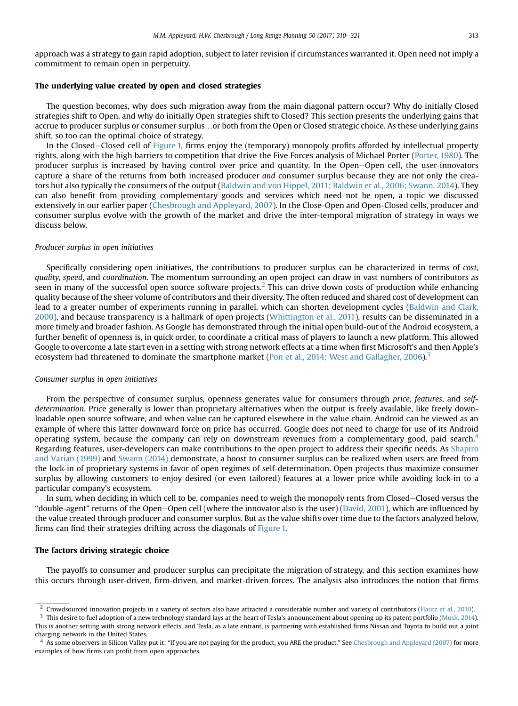approach was a strategy to gain rapid adoption, subject to later revision if circumstances warranted it. Open need not imply a commitment to remain open in perpetuity.

#### The underlying value created by open and closed strategies

The question becomes, why does such migration away from the main diagonal pattern occur? Why do initially Closed strategies shift to Open, and why do initially Open strategies shift to Closed? This section presents the underlying gains that accrue to producer surplus or consumer surplus…or both from the Open or Closed strategic choice. As these underlying gains shift, so too can the optimal choice of strategy.

In the Closed–Closed cell of [Figure 1,](#page-2-0) firms enjoy the (temporary) monopoly profits afforded by intellectual property rights, along with the high barriers to competition that drive the Five Forces analysis of Michael Porter ([Porter, 1980\)](#page-11-0). The producer surplus is increased by having control over price and quantity. In the Open-Open cell, the user-innovators capture a share of the returns from both increased producer and consumer surplus because they are not only the creators but also typically the consumers of the output [\(Baldwin and von Hippel, 2011; Baldwin et al., 2006; Swann, 2014\)](#page-11-0). They can also benefit from providing complementary goods and services which need not be open, a topic we discussed extensively in our earlier paper [\(Chesbrough and Appleyard, 2007\)](#page-11-0). In the Close-Open and Open-Closed cells, producer and consumer surplus evolve with the growth of the market and drive the inter-temporal migration of strategy in ways we discuss below.

#### Producer surplus in open initiatives

Specifically considering open initiatives, the contributions to producer surplus can be characterized in terms of cost, quality, speed, and coordination. The momentum surrounding an open project can draw in vast numbers of contributors as seen in many of the successful open source software projects.<sup>2</sup> This can drive down costs of production while enhancing quality because of the sheer volume of contributors and their diversity. The often reduced and shared cost of development can lead to a greater number of experiments running in parallel, which can shorten development cycles [\(Baldwin and Clark,](#page-11-0) [2000](#page-11-0)), and because transparency is a hallmark of open projects ([Whittington et al., 2011](#page-12-0)), results can be disseminated in a more timely and broader fashion. As Google has demonstrated through the initial open build-out of the Android ecosystem, a further benefit of openness is, in quick order, to coordinate a critical mass of players to launch a new platform. This allowed Google to overcome a late start even in a setting with strong network effects at a time when first Microsoft's and then Apple's ecosystem had threatened to dominate the smartphone market [\(Pon et al., 2014; West and Gallagher, 2006](#page-11-0)).<sup>3</sup>

#### Consumer surplus in open initiatives

From the perspective of consumer surplus, openness generates value for consumers through price, features, and selfdetermination. Price generally is lower than proprietary alternatives when the output is freely available, like freely downloadable open source software, and when value can be captured elsewhere in the value chain. Android can be viewed as an example of where this latter downward force on price has occurred. Google does not need to charge for use of its Android operating system, because the company can rely on downstream revenues from a complementary good, paid search.<sup>4</sup> Regarding features, user-developers can make contributions to the open project to address their specific needs. As [Shapiro](#page-11-0) [and Varian \(1999\)](#page-11-0) and [Swann \(2014\)](#page-12-0) demonstrate, a boost to consumer surplus can be realized when users are freed from the lock-in of proprietary systems in favor of open regimes of self-determination. Open projects thus maximize consumer surplus by allowing customers to enjoy desired (or even tailored) features at a lower price while avoiding lock-in to a particular company's ecosystem.

In sum, when deciding in which cell to be, companies need to weigh the monopoly rents from Closed–Closed versus the "double-agent" returns of the Open-Open cell (where the innovator also is the user) ([David, 2001](#page-11-0)), which are influenced by the value created through producer and consumer surplus. But as the value shifts over time due to the factors analyzed below, firms can find their strategies drifting across the diagonals of [Figure 1.](#page-2-0)

#### The factors driving strategic choice

The payoffs to consumer and producer surplus can precipitate the migration of strategy, and this section examines how this occurs through user-driven, firm-driven, and market-driven forces. The analysis also introduces the notion that firms

<sup>&</sup>lt;sup>2</sup> Crowdsourced innovation projects in a variety of sectors also have attracted a considerable number and variety of contributors [\(Hautz et al., 2010](#page-11-0)).

 $3$  This desire to fuel adoption of a new technology standard lays at the heart of Tesla's announcement about opening up its patent portfolio ([Musk, 2014](#page-11-0)). This is another setting with strong network effects, and Tesla, as a late entrant, is partnering with established firms Nissan and Toyota to build out a joint charging network in the United States.

<sup>&</sup>lt;sup>4</sup> As some observers in Silicon Valley put it: "If you are not paying for the product, you ARE the product." See [Chesbrough and Appleyard \(2007\)](#page-11-0) for more examples of how firms can profit from open approaches.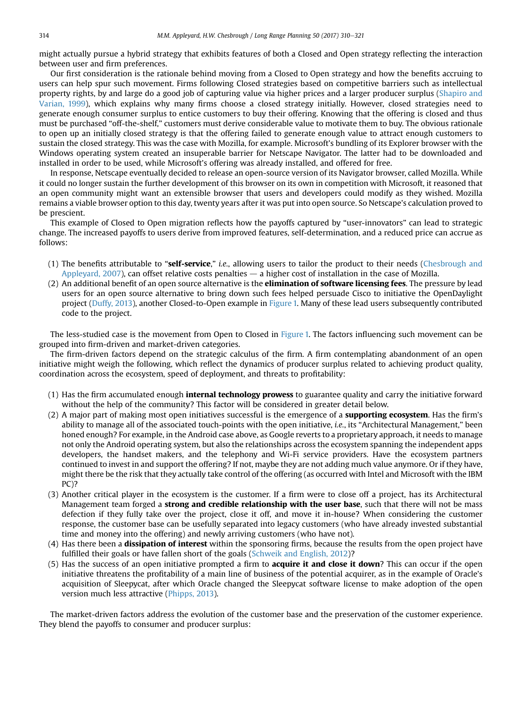might actually pursue a hybrid strategy that exhibits features of both a Closed and Open strategy reflecting the interaction between user and firm preferences.

Our first consideration is the rationale behind moving from a Closed to Open strategy and how the benefits accruing to users can help spur such movement. Firms following Closed strategies based on competitive barriers such as intellectual property rights, by and large do a good job of capturing value via higher prices and a larger producer surplus ([Shapiro and](#page-11-0) [Varian, 1999\)](#page-11-0), which explains why many firms choose a closed strategy initially. However, closed strategies need to generate enough consumer surplus to entice customers to buy their offering. Knowing that the offering is closed and thus must be purchased "off-the-shelf," customers must derive considerable value to motivate them to buy. The obvious rationale to open up an initially closed strategy is that the offering failed to generate enough value to attract enough customers to sustain the closed strategy. This was the case with Mozilla, for example. Microsoft's bundling of its Explorer browser with the Windows operating system created an insuperable barrier for Netscape Navigator. The latter had to be downloaded and installed in order to be used, while Microsoft's offering was already installed, and offered for free.

In response, Netscape eventually decided to release an open-source version of its Navigator browser, called Mozilla. While it could no longer sustain the further development of this browser on its own in competition with Microsoft, it reasoned that an open community might want an extensible browser that users and developers could modify as they wished. Mozilla remains a viable browser option to this day, twenty years after it was put into open source. So Netscape's calculation proved to be prescient.

This example of Closed to Open migration reflects how the payoffs captured by "user-innovators" can lead to strategic change. The increased payoffs to users derive from improved features, self-determination, and a reduced price can accrue as follows:

- (1) The benefits attributable to "self-service," i.e., allowing users to tailor the product to their needs [\(Chesbrough and](#page-11-0) [Appleyard, 2007](#page-11-0)), can offset relative costs penalties  $-$  a higher cost of installation in the case of Mozilla.
- (2) An additional benefit of an open source alternative is the **elimination of software licensing fees**. The pressure by lead users for an open source alternative to bring down such fees helped persuade Cisco to initiative the OpenDaylight project ([Duffy, 2013](#page-11-0)), another Closed-to-Open example in [Figure 1.](#page-2-0) Many of these lead users subsequently contributed code to the project.

The less-studied case is the movement from Open to Closed in [Figure 1.](#page-2-0) The factors influencing such movement can be grouped into firm-driven and market-driven categories.

The firm-driven factors depend on the strategic calculus of the firm. A firm contemplating abandonment of an open initiative might weigh the following, which reflect the dynamics of producer surplus related to achieving product quality, coordination across the ecosystem, speed of deployment, and threats to profitability:

- $(1)$  Has the firm accumulated enough **internal technology prowess** to guarantee quality and carry the initiative forward without the help of the community? This factor will be considered in greater detail below.
- (2) A major part of making most open initiatives successful is the emergence of a **supporting ecosystem**. Has the firm's ability to manage all of the associated touch-points with the open initiative, i.e., its "Architectural Management," been honed enough? For example, in the Android case above, as Google reverts to a proprietary approach, it needs to manage not only the Android operating system, but also the relationships across the ecosystem spanning the independent apps developers, the handset makers, and the telephony and Wi-Fi service providers. Have the ecosystem partners continued to invest in and support the offering? If not, maybe they are not adding much value anymore. Or if they have, might there be the risk that they actually take control of the offering (as occurred with Intel and Microsoft with the IBM PC)?
- (3) Another critical player in the ecosystem is the customer. If a firm were to close off a project, has its Architectural Management team forged a strong and credible relationship with the user base, such that there will not be mass defection if they fully take over the project, close it off, and move it in-house? When considering the customer response, the customer base can be usefully separated into legacy customers (who have already invested substantial time and money into the offering) and newly arriving customers (who have not).
- (4) Has there been a **dissipation of interest** within the sponsoring firms, because the results from the open project have fulfilled their goals or have fallen short of the goals ([Schweik and English, 2012\)](#page-11-0)?
- (5) Has the success of an open initiative prompted a firm to **acquire it and close it down**? This can occur if the open initiative threatens the profitability of a main line of business of the potential acquirer, as in the example of Oracle's acquisition of Sleepycat, after which Oracle changed the Sleepycat software license to make adoption of the open version much less attractive ([Phipps, 2013\)](#page-11-0).

The market-driven factors address the evolution of the customer base and the preservation of the customer experience. They blend the payoffs to consumer and producer surplus: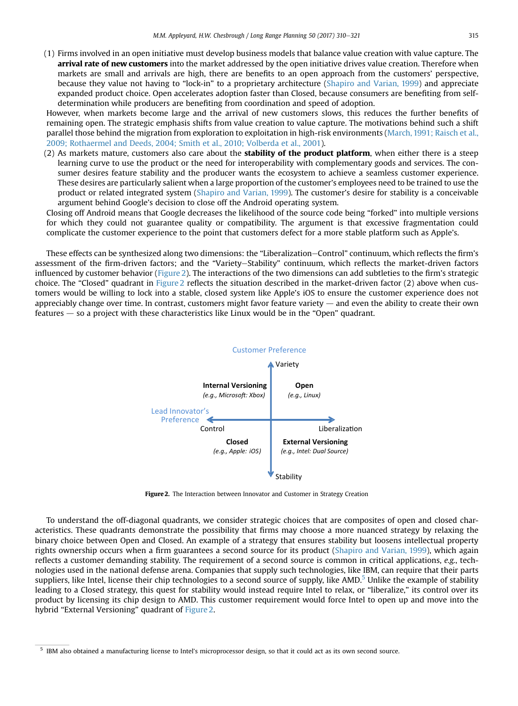<span id="page-6-0"></span>(1) Firms involved in an open initiative must develop business models that balance value creation with value capture. The arrival rate of new customers into the market addressed by the open initiative drives value creation. Therefore when markets are small and arrivals are high, there are benefits to an open approach from the customers' perspective, because they value not having to "lock-in" to a proprietary architecture ([Shapiro and Varian, 1999](#page-11-0)) and appreciate expanded product choice. Open accelerates adoption faster than Closed, because consumers are benefiting from selfdetermination while producers are benefiting from coordination and speed of adoption.

However, when markets become large and the arrival of new customers slows, this reduces the further benefits of remaining open. The strategic emphasis shifts from value creation to value capture. The motivations behind such a shift parallel those behind the migration from exploration to exploitation in high-risk environments [\(March, 1991; Raisch et al.,](#page-11-0) [2009; Rothaermel and Deeds, 2004; Smith et al., 2010; Volberda et al., 2001](#page-11-0)).

 $(2)$  As markets mature, customers also care about the **stability of the product platform**, when either there is a steep learning curve to use the product or the need for interoperability with complementary goods and services. The consumer desires feature stability and the producer wants the ecosystem to achieve a seamless customer experience. These desires are particularly salient when a large proportion of the customer's employees need to be trained to use the product or related integrated system ([Shapiro and Varian, 1999\)](#page-11-0). The customer's desire for stability is a conceivable argument behind Google's decision to close off the Android operating system.

Closing off Android means that Google decreases the likelihood of the source code being "forked" into multiple versions for which they could not guarantee quality or compatibility. The argument is that excessive fragmentation could complicate the customer experience to the point that customers defect for a more stable platform such as Apple's.

These effects can be synthesized along two dimensions: the "Liberalization-Control" continuum, which reflects the firm's assessment of the firm-driven factors; and the "Variety-Stability" continuum, which reflects the market-driven factors influenced by customer behavior (Figure 2). The interactions of the two dimensions can add subtleties to the firm's strategic choice. The "Closed" quadrant in Figure 2 reflects the situation described in the market-driven factor (2) above when customers would be willing to lock into a stable, closed system like Apple's iOS to ensure the customer experience does not appreciably change over time. In contrast, customers might favor feature variety  $-$  and even the ability to create their own features — so a project with these characteristics like Linux would be in the "Open" quadrant.



Figure 2. The Interaction between Innovator and Customer in Strategy Creation

To understand the off-diagonal quadrants, we consider strategic choices that are composites of open and closed characteristics. These quadrants demonstrate the possibility that firms may choose a more nuanced strategy by relaxing the binary choice between Open and Closed. An example of a strategy that ensures stability but loosens intellectual property rights ownership occurs when a firm guarantees a second source for its product [\(Shapiro and Varian, 1999\)](#page-11-0), which again reflects a customer demanding stability. The requirement of a second source is common in critical applications, e.g., technologies used in the national defense arena. Companies that supply such technologies, like IBM, can require that their parts suppliers, like Intel, license their chip technologies to a second source of supply, like AMD.<sup>5</sup> Unlike the example of stability leading to a Closed strategy, this quest for stability would instead require Intel to relax, or "liberalize," its control over its product by licensing its chip design to AMD. This customer requirement would force Intel to open up and move into the hybrid "External Versioning" quadrant of Figure 2.

<sup>5</sup> IBM also obtained a manufacturing license to Intel's microprocessor design, so that it could act as its own second source.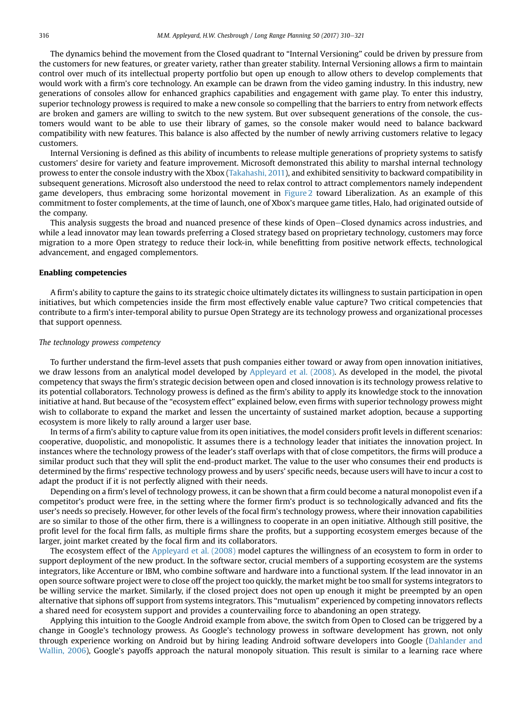The dynamics behind the movement from the Closed quadrant to "Internal Versioning" could be driven by pressure from the customers for new features, or greater variety, rather than greater stability. Internal Versioning allows a firm to maintain control over much of its intellectual property portfolio but open up enough to allow others to develop complements that would work with a firm's core technology. An example can be drawn from the video gaming industry. In this industry, new generations of consoles allow for enhanced graphics capabilities and engagement with game play. To enter this industry, superior technology prowess is required to make a new console so compelling that the barriers to entry from network effects are broken and gamers are willing to switch to the new system. But over subsequent generations of the console, the customers would want to be able to use their library of games, so the console maker would need to balance backward compatibility with new features. This balance is also affected by the number of newly arriving customers relative to legacy customers.

Internal Versioning is defined as this ability of incumbents to release multiple generations of propriety systems to satisfy customers' desire for variety and feature improvement. Microsoft demonstrated this ability to marshal internal technology prowess to enter the console industry with the Xbox ([Takahashi, 2011\)](#page-12-0), and exhibited sensitivity to backward compatibility in subsequent generations. Microsoft also understood the need to relax control to attract complementors namely independent game developers, thus embracing some horizontal movement in [Figure 2](#page-6-0) toward Liberalization. As an example of this commitment to foster complements, at the time of launch, one of Xbox's marquee game titles, Halo, had originated outside of the company.

This analysis suggests the broad and nuanced presence of these kinds of Open–Closed dynamics across industries, and while a lead innovator may lean towards preferring a Closed strategy based on proprietary technology, customers may force migration to a more Open strategy to reduce their lock-in, while benefitting from positive network effects, technological advancement, and engaged complementors.

#### Enabling competencies

A firm's ability to capture the gains to its strategic choice ultimately dictates its willingness to sustain participation in open initiatives, but which competencies inside the firm most effectively enable value capture? Two critical competencies that contribute to a firm's inter-temporal ability to pursue Open Strategy are its technology prowess and organizational processes that support openness.

#### The technology prowess competency

To further understand the firm-level assets that push companies either toward or away from open innovation initiatives, we draw lessons from an analytical model developed by [Appleyard et al. \(2008\).](#page-11-0) As developed in the model, the pivotal competency that sways the firm's strategic decision between open and closed innovation is its technology prowess relative to its potential collaborators. Technology prowess is defined as the firm's ability to apply its knowledge stock to the innovation initiative at hand. But because of the "ecosystem effect" explained below, even firms with superior technology prowess might wish to collaborate to expand the market and lessen the uncertainty of sustained market adoption, because a supporting ecosystem is more likely to rally around a larger user base.

In terms of a firm's ability to capture value from its open initiatives, the model considers profit levels in different scenarios: cooperative, duopolistic, and monopolistic. It assumes there is a technology leader that initiates the innovation project. In instances where the technology prowess of the leader's staff overlaps with that of close competitors, the firms will produce a similar product such that they will split the end-product market. The value to the user who consumes their end products is determined by the firms' respective technology prowess and by users' specific needs, because users will have to incur a cost to adapt the product if it is not perfectly aligned with their needs.

Depending on a firm's level of technology prowess, it can be shown that a firm could become a natural monopolist even if a competitor's product were free, in the setting where the former firm's product is so technologically advanced and fits the user's needs so precisely. However, for other levels of the focal firm's technology prowess, where their innovation capabilities are so similar to those of the other firm, there is a willingness to cooperate in an open initiative. Although still positive, the profit level for the focal firm falls, as multiple firms share the profits, but a supporting ecosystem emerges because of the larger, joint market created by the focal firm and its collaborators.

The ecosystem effect of the [Appleyard et al. \(2008\)](#page-11-0) model captures the willingness of an ecosystem to form in order to support deployment of the new product. In the software sector, crucial members of a supporting ecosystem are the systems integrators, like Accenture or IBM, who combine software and hardware into a functional system. If the lead innovator in an open source software project were to close off the project too quickly, the market might be too small for systems integrators to be willing service the market. Similarly, if the closed project does not open up enough it might be preempted by an open alternative that siphons off support from systems integrators. This "mutualism" experienced by competing innovators reflects a shared need for ecosystem support and provides a countervailing force to abandoning an open strategy.

Applying this intuition to the Google Android example from above, the switch from Open to Closed can be triggered by a change in Google's technology prowess. As Google's technology prowess in software development has grown, not only through experience working on Android but by hiring leading Android software developers into Google ([Dahlander and](#page-11-0) [Wallin, 2006](#page-11-0)), Google's payoffs approach the natural monopoly situation. This result is similar to a learning race where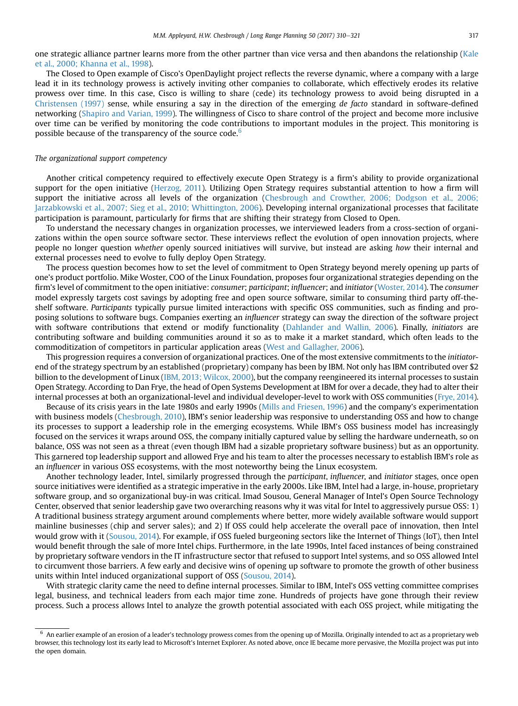one strategic alliance partner learns more from the other partner than vice versa and then abandons the relationship ([Kale](#page-11-0) [et al., 2000; Khanna et al., 1998](#page-11-0)).

The Closed to Open example of Cisco's OpenDaylight project reflects the reverse dynamic, where a company with a large lead it in its technology prowess is actively inviting other companies to collaborate, which effectively erodes its relative prowess over time. In this case, Cisco is willing to share (cede) its technology prowess to avoid being disrupted in a [Christensen \(1997\)](#page-11-0) sense, while ensuring a say in the direction of the emerging de facto standard in software-defined networking [\(Shapiro and Varian, 1999](#page-11-0)). The willingness of Cisco to share control of the project and become more inclusive over time can be verified by monitoring the code contributions to important modules in the project. This monitoring is possible because of the transparency of the source code.<sup>6</sup>

#### The organizational support competency

Another critical competency required to effectively execute Open Strategy is a firm's ability to provide organizational support for the open initiative ([Herzog, 2011](#page-11-0)). Utilizing Open Strategy requires substantial attention to how a firm will support the initiative across all levels of the organization ([Chesbrough and Crowther, 2006; Dodgson et al., 2006;](#page-11-0) [Jarzabkowski et al., 2007; Sieg et al., 2010; Whittington, 2006\)](#page-11-0). Developing internal organizational processes that facilitate participation is paramount, particularly for firms that are shifting their strategy from Closed to Open.

To understand the necessary changes in organization processes, we interviewed leaders from a cross-section of organizations within the open source software sector. These interviews reflect the evolution of open innovation projects, where people no longer question whether openly sourced initiatives will survive, but instead are asking how their internal and external processes need to evolve to fully deploy Open Strategy.

The process question becomes how to set the level of commitment to Open Strategy beyond merely opening up parts of one's product portfolio. Mike Woster, COO of the Linux Foundation, proposes four organizational strategies depending on the firm's level of commitment to the open initiative: consumer; participant; influencer; and initiator ([Woster, 2014](#page-12-0)). The consumer model expressly targets cost savings by adopting free and open source software, similar to consuming third party off-theshelf software. Participants typically pursue limited interactions with specific OSS communities, such as finding and proposing solutions to software bugs. Companies exerting an influencer strategy can sway the direction of the software project with software contributions that extend or modify functionality ([Dahlander and Wallin, 2006\)](#page-11-0). Finally, *initiators* are contributing software and building communities around it so as to make it a market standard, which often leads to the commoditization of competitors in particular application areas [\(West and Gallagher, 2006\)](#page-12-0).

This progression requires a conversion of organizational practices. One of the most extensive commitments to the initiatorend of the strategy spectrum by an established (proprietary) company has been by IBM. Not only has IBM contributed over \$2 billion to the development of Linux [\(IBM, 2013; Wilcox, 2000\)](#page-11-0), but the company reengineered its internal processes to sustain Open Strategy. According to Dan Frye, the head of Open Systems Development at IBM for over a decade, they had to alter their internal processes at both an organizational-level and individual developer-level to work with OSS communities [\(Frye, 2014](#page-11-0)).

Because of its crisis years in the late 1980s and early 1990s [\(Mills and Friesen, 1996\)](#page-11-0) and the company's experimentation with business models ([Chesbrough, 2010\)](#page-11-0), IBM's senior leadership was responsive to understanding OSS and how to change its processes to support a leadership role in the emerging ecosystems. While IBM's OSS business model has increasingly focused on the services it wraps around OSS, the company initially captured value by selling the hardware underneath, so on balance, OSS was not seen as a threat (even though IBM had a sizable proprietary software business) but as an opportunity. This garnered top leadership support and allowed Frye and his team to alter the processes necessary to establish IBM's role as an influencer in various OSS ecosystems, with the most noteworthy being the Linux ecosystem.

Another technology leader, Intel, similarly progressed through the participant, influencer, and initiator stages, once open source initiatives were identified as a strategic imperative in the early 2000s. Like IBM, Intel had a large, in-house, proprietary software group, and so organizational buy-in was critical. Imad Sousou, General Manager of Intel's Open Source Technology Center, observed that senior leadership gave two overarching reasons why it was vital for Intel to aggressively pursue OSS: 1) A traditional business strategy argument around complements where better, more widely available software would support mainline businesses (chip and server sales); and 2) If OSS could help accelerate the overall pace of innovation, then Intel would grow with it ([Sousou, 2014](#page-12-0)). For example, if OSS fueled burgeoning sectors like the Internet of Things (IoT), then Intel would benefit through the sale of more Intel chips. Furthermore, in the late 1990s, Intel faced instances of being constrained by proprietary software vendors in the IT infrastructure sector that refused to support Intel systems, and so OSS allowed Intel to circumvent those barriers. A few early and decisive wins of opening up software to promote the growth of other business units within Intel induced organizational support of OSS [\(Sousou, 2014](#page-12-0)).

With strategic clarity came the need to define internal processes. Similar to IBM, Intel's OSS vetting committee comprises legal, business, and technical leaders from each major time zone. Hundreds of projects have gone through their review process. Such a process allows Intel to analyze the growth potential associated with each OSS project, while mitigating the

 $6$  An earlier example of an erosion of a leader's technology prowess comes from the opening up of Mozilla. Originally intended to act as a proprietary web browser, this technology lost its early lead to Microsoft's Internet Explorer. As noted above, once IE became more pervasive, the Mozilla project was put into the open domain.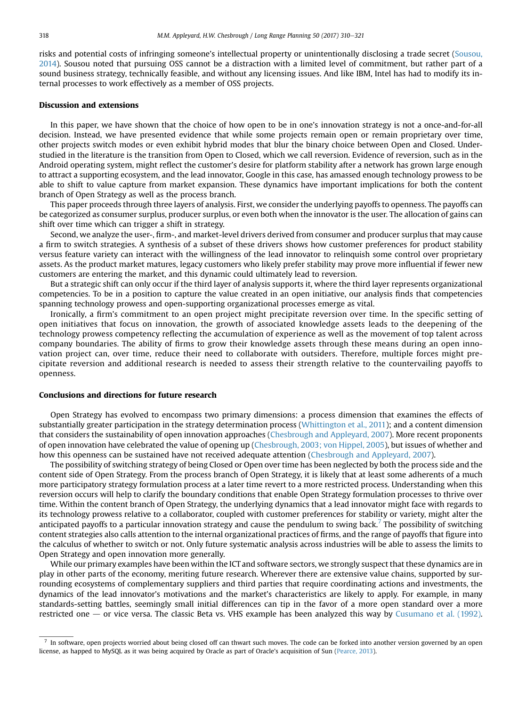risks and potential costs of infringing someone's intellectual property or unintentionally disclosing a trade secret [\(Sousou,](#page-12-0) [2014](#page-12-0)). Sousou noted that pursuing OSS cannot be a distraction with a limited level of commitment, but rather part of a sound business strategy, technically feasible, and without any licensing issues. And like IBM, Intel has had to modify its internal processes to work effectively as a member of OSS projects.

#### Discussion and extensions

In this paper, we have shown that the choice of how open to be in one's innovation strategy is not a once-and-for-all decision. Instead, we have presented evidence that while some projects remain open or remain proprietary over time, other projects switch modes or even exhibit hybrid modes that blur the binary choice between Open and Closed. Understudied in the literature is the transition from Open to Closed, which we call reversion. Evidence of reversion, such as in the Android operating system, might reflect the customer's desire for platform stability after a network has grown large enough to attract a supporting ecosystem, and the lead innovator, Google in this case, has amassed enough technology prowess to be able to shift to value capture from market expansion. These dynamics have important implications for both the content branch of Open Strategy as well as the process branch.

This paper proceeds through three layers of analysis. First, we consider the underlying payoffs to openness. The payoffs can be categorized as consumer surplus, producer surplus, or even both when the innovator is the user. The allocation of gains can shift over time which can trigger a shift in strategy.

Second, we analyze the user-, firm-, and market-level drivers derived from consumer and producer surplus that may cause a firm to switch strategies. A synthesis of a subset of these drivers shows how customer preferences for product stability versus feature variety can interact with the willingness of the lead innovator to relinquish some control over proprietary assets. As the product market matures, legacy customers who likely prefer stability may prove more influential if fewer new customers are entering the market, and this dynamic could ultimately lead to reversion.

But a strategic shift can only occur if the third layer of analysis supports it, where the third layer represents organizational competencies. To be in a position to capture the value created in an open initiative, our analysis finds that competencies spanning technology prowess and open-supporting organizational processes emerge as vital.

Ironically, a firm's commitment to an open project might precipitate reversion over time. In the specific setting of open initiatives that focus on innovation, the growth of associated knowledge assets leads to the deepening of the technology prowess competency reflecting the accumulation of experience as well as the movement of top talent across company boundaries. The ability of firms to grow their knowledge assets through these means during an open innovation project can, over time, reduce their need to collaborate with outsiders. Therefore, multiple forces might precipitate reversion and additional research is needed to assess their strength relative to the countervailing payoffs to openness.

#### Conclusions and directions for future research

Open Strategy has evolved to encompass two primary dimensions: a process dimension that examines the effects of substantially greater participation in the strategy determination process [\(Whittington et al., 2011\)](#page-12-0); and a content dimension that considers the sustainability of open innovation approaches [\(Chesbrough and Appleyard, 2007](#page-11-0)). More recent proponents of open innovation have celebrated the value of opening up ([Chesbrough, 2003; von Hippel, 2005](#page-11-0)), but issues of whether and how this openness can be sustained have not received adequate attention ([Chesbrough and Appleyard, 2007](#page-11-0)).

The possibility of switching strategy of being Closed or Open over time has been neglected by both the process side and the content side of Open Strategy. From the process branch of Open Strategy, it is likely that at least some adherents of a much more participatory strategy formulation process at a later time revert to a more restricted process. Understanding when this reversion occurs will help to clarify the boundary conditions that enable Open Strategy formulation processes to thrive over time. Within the content branch of Open Strategy, the underlying dynamics that a lead innovator might face with regards to its technology prowess relative to a collaborator, coupled with customer preferences for stability or variety, might alter the anticipated payoffs to a particular innovation strategy and cause the pendulum to swing back.<sup>7</sup> The possibility of switching content strategies also calls attention to the internal organizational practices of firms, and the range of payoffs that figure into the calculus of whether to switch or not. Only future systematic analysis across industries will be able to assess the limits to Open Strategy and open innovation more generally.

While our primary examples have been within the ICT and software sectors, we strongly suspect that these dynamics are in play in other parts of the economy, meriting future research. Wherever there are extensive value chains, supported by surrounding ecosystems of complementary suppliers and third parties that require coordinating actions and investments, the dynamics of the lead innovator's motivations and the market's characteristics are likely to apply. For example, in many standards-setting battles, seemingly small initial differences can tip in the favor of a more open standard over a more restricted one  $-$  or vice versa. The classic Beta vs. VHS example has been analyzed this way by [Cusumano et al. \(1992\)](#page-11-0).

 $<sup>7</sup>$  In software, open projects worried about being closed off can thwart such moves. The code can be forked into another version governed by an open</sup> license, as happed to MySQL as it was being acquired by Oracle as part of Oracle's acquisition of Sun [\(Pearce, 2013](#page-11-0)).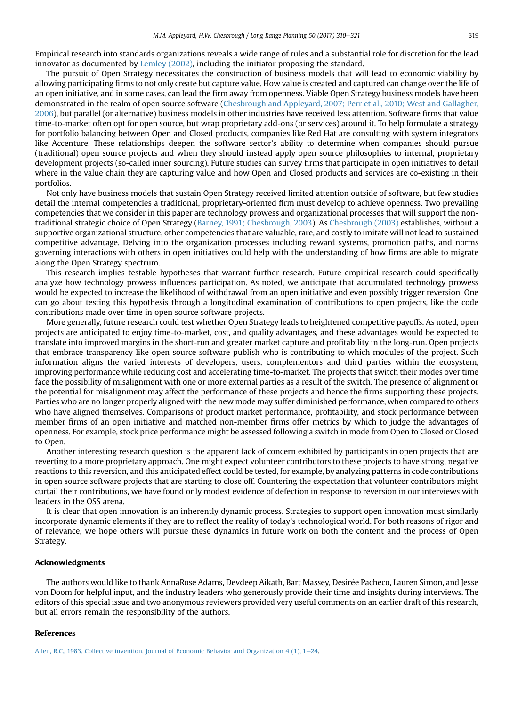<span id="page-10-0"></span>Empirical research into standards organizations reveals a wide range of rules and a substantial role for discretion for the lead innovator as documented by [Lemley \(2002\)](#page-11-0), including the initiator proposing the standard.

The pursuit of Open Strategy necessitates the construction of business models that will lead to economic viability by allowing participating firms to not only create but capture value. How value is created and captured can change over the life of an open initiative, and in some cases, can lead the firm away from openness. Viable Open Strategy business models have been demonstrated in the realm of open source software ([Chesbrough and Appleyard, 2007; Perr et al., 2010; West and Gallagher,](#page-11-0) [2006](#page-11-0)), but parallel (or alternative) business models in other industries have received less attention. Software firms that value time-to-market often opt for open source, but wrap proprietary add-ons (or services) around it. To help formulate a strategy for portfolio balancing between Open and Closed products, companies like Red Hat are consulting with system integrators like Accenture. These relationships deepen the software sector's ability to determine when companies should pursue (traditional) open source projects and when they should instead apply open source philosophies to internal, proprietary development projects (so-called inner sourcing). Future studies can survey firms that participate in open initiatives to detail where in the value chain they are capturing value and how Open and Closed products and services are co-existing in their portfolios.

Not only have business models that sustain Open Strategy received limited attention outside of software, but few studies detail the internal competencies a traditional, proprietary-oriented firm must develop to achieve openness. Two prevailing competencies that we consider in this paper are technology prowess and organizational processes that will support the nontraditional strategic choice of Open Strategy [\(Barney, 1991; Chesbrough, 2003](#page-11-0)). As [Chesbrough \(2003\)](#page-11-0) establishes, without a supportive organizational structure, other competencies that are valuable, rare, and costly to imitate will not lead to sustained competitive advantage. Delving into the organization processes including reward systems, promotion paths, and norms governing interactions with others in open initiatives could help with the understanding of how firms are able to migrate along the Open Strategy spectrum.

This research implies testable hypotheses that warrant further research. Future empirical research could specifically analyze how technology prowess influences participation. As noted, we anticipate that accumulated technology prowess would be expected to increase the likelihood of withdrawal from an open initiative and even possibly trigger reversion. One can go about testing this hypothesis through a longitudinal examination of contributions to open projects, like the code contributions made over time in open source software projects.

More generally, future research could test whether Open Strategy leads to heightened competitive payoffs. As noted, open projects are anticipated to enjoy time-to-market, cost, and quality advantages, and these advantages would be expected to translate into improved margins in the short-run and greater market capture and profitability in the long-run. Open projects that embrace transparency like open source software publish who is contributing to which modules of the project. Such information aligns the varied interests of developers, users, complementors and third parties within the ecosystem, improving performance while reducing cost and accelerating time-to-market. The projects that switch their modes over time face the possibility of misalignment with one or more external parties as a result of the switch. The presence of alignment or the potential for misalignment may affect the performance of these projects and hence the firms supporting these projects. Parties who are no longer properly aligned with the new mode may suffer diminished performance, when compared to others who have aligned themselves. Comparisons of product market performance, profitability, and stock performance between member firms of an open initiative and matched non-member firms offer metrics by which to judge the advantages of openness. For example, stock price performance might be assessed following a switch in mode from Open to Closed or Closed to Open.

Another interesting research question is the apparent lack of concern exhibited by participants in open projects that are reverting to a more proprietary approach. One might expect volunteer contributors to these projects to have strong, negative reactions to this reversion, and this anticipated effect could be tested, for example, by analyzing patterns in code contributions in open source software projects that are starting to close off. Countering the expectation that volunteer contributors might curtail their contributions, we have found only modest evidence of defection in response to reversion in our interviews with leaders in the OSS arena.

It is clear that open innovation is an inherently dynamic process. Strategies to support open innovation must similarly incorporate dynamic elements if they are to reflect the reality of today's technological world. For both reasons of rigor and of relevance, we hope others will pursue these dynamics in future work on both the content and the process of Open Strategy.

#### Acknowledgments

The authors would like to thank AnnaRose Adams, Devdeep Aikath, Bart Massey, Desiree Pacheco, Lauren Simon, and Jesse von Doom for helpful input, and the industry leaders who generously provide their time and insights during interviews. The editors of this special issue and two anonymous reviewers provided very useful comments on an earlier draft of this research, but all errors remain the responsibility of the authors.

#### References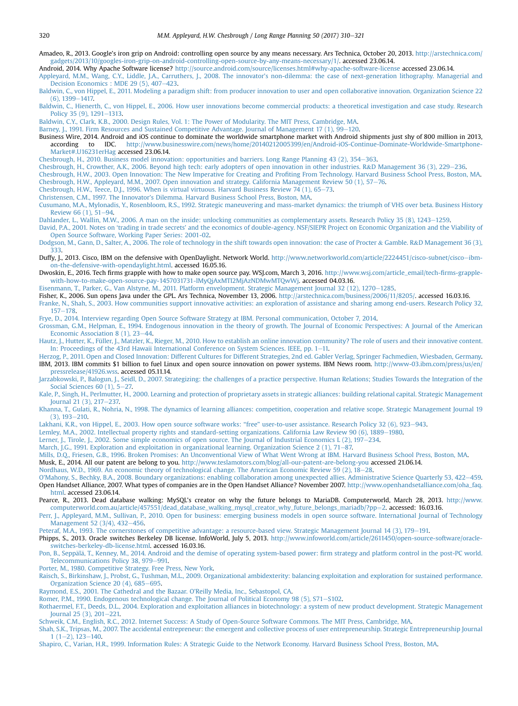<span id="page-11-0"></span>Amadeo, R., 2013. Google's iron grip on Android: controlling open source by any means necessary. Ars Technica, October 20, 2013. [http://arstechnica.com/](http://arstechnica.com/gadgets/2013/10/googles-iron-grip-on-android-controlling-open-source-by-any-means-necessary/1/) [gadgets/2013/10/googles-iron-grip-on-android-controlling-open-source-by-any-means-necessary/1/](http://arstechnica.com/gadgets/2013/10/googles-iron-grip-on-android-controlling-open-source-by-any-means-necessary/1/). accessed 23.06.14.

Android, 2014. Why Apache Software license? <http://source.android.com/source/licenses.html#why-apache-software-license> accessed 23.06.14.

[Appleyard, M.M., Wang, C.Y., Liddle, J.A., Carruthers, J., 2008. The innovator](http://refhub.elsevier.com/S0024-6301(16)30067-X/sr0025)'s non-dilemma: the case of next-generation lithography. Managerial and [Decision Economics : MDE 29 \(5\), 407](http://refhub.elsevier.com/S0024-6301(16)30067-X/sr0025)-[423](http://refhub.elsevier.com/S0024-6301(16)30067-X/sr0025).

[Baldwin, C., von Hippel, E., 2011. Modeling a paradigm shift: from producer innovation to user and open collaborative innovation. Organization Science 22](http://refhub.elsevier.com/S0024-6301(16)30067-X/sr0030)  $(6)$ , 1399-[1417.](http://refhub.elsevier.com/S0024-6301(16)30067-X/sr0030)

[Baldwin, C., Hienerth, C., von Hippel, E., 2006. How user innovations become commercial products: a theoretical investigation and case study. Research](http://refhub.elsevier.com/S0024-6301(16)30067-X/sr0035) [Policy 35 \(9\), 1291](http://refhub.elsevier.com/S0024-6301(16)30067-X/sr0035)-[1313.](http://refhub.elsevier.com/S0024-6301(16)30067-X/sr0035)

[Baldwin, C.Y., Clark, K.B., 2000. Design Rules, Vol. 1: The Power of Modularity. The MIT Press, Cambridge, MA](http://refhub.elsevier.com/S0024-6301(16)30067-X/sr0040).

[Barney, J., 1991. Firm Resources and Sustained Competitive Advantage. Journal of Management 17 \(1\), 99](http://refhub.elsevier.com/S0024-6301(16)30067-X/sr0045)–[120](http://refhub.elsevier.com/S0024-6301(16)30067-X/sr0045).

Business Wire, 2014. Android and iOS continue to dominate the worldwide smartphone market with Android shipments just shy of 800 million in 2013, according to IDC. [http://www.businesswire.com/news/home/20140212005399/en/Android-iOS-Continue-Dominate-Worldwide-Smartphone-](http://www.businesswire.com/news/home/20140212005399/en/Android-iOS-Continue-Dominate-Worldwide-Smartphone-Market#.U16231erHag)[Market#.U16231erHag](http://www.businesswire.com/news/home/20140212005399/en/Android-iOS-Continue-Dominate-Worldwide-Smartphone-Market#.U16231erHag) accessed 23.06.14.

[Chesbrough, H., 2010. Business model innovation: opportunities and barriers. Long Range Planning 43 \(2\), 354](http://refhub.elsevier.com/S0024-6301(16)30067-X/sr0055)–[363.](http://refhub.elsevier.com/S0024-6301(16)30067-X/sr0055)

[Chesbrough, H., Crowther, A.K., 2006. Beyond high tech: early adopters of open innovation in other industries. R](http://refhub.elsevier.com/S0024-6301(16)30067-X/sr0060)&[D Management 36 \(3\), 229](http://refhub.elsevier.com/S0024-6301(16)30067-X/sr0060)–[236](http://refhub.elsevier.com/S0024-6301(16)30067-X/sr0060).

[Chesbrough, H.W., 2003. Open Innovation: The New Imperative for Creating and Pro](http://refhub.elsevier.com/S0024-6301(16)30067-X/sr0065)fiting From Technology. Harvard Business School Press, Boston, MA.

[Chesbrough, H.W., Appleyard, M.M., 2007. Open innovation and strategy. California Management Review 50 \(1\), 57](http://refhub.elsevier.com/S0024-6301(16)30067-X/sr0070)-[76.](http://refhub.elsevier.com/S0024-6301(16)30067-X/sr0070)

[Chesbrough, H.W., Teece, D.J., 1996. When is virtual virtuous. Harvard Business Review 74 \(1\), 65](http://refhub.elsevier.com/S0024-6301(16)30067-X/sr0075)–[73.](http://refhub.elsevier.com/S0024-6301(16)30067-X/sr0075)

Christensen, C.M., 1997. The Innovator'[s Dilemma. Harvard Business School Press, Boston, MA](http://refhub.elsevier.com/S0024-6301(16)30067-X/sr0080).

[Cusumano, M.A., Mylonadis, Y., Rosenbloom, R.S., 1992. Strategic maneuvering and mass-market dynamics: the triumph of VHS over beta. Business History](http://refhub.elsevier.com/S0024-6301(16)30067-X/sr0085) Review 66 $(1)$ , 51-[94.](http://refhub.elsevier.com/S0024-6301(16)30067-X/sr0085)

[Dahlander, L., Wallin, M.W., 2006. A man on the inside: unlocking communities as complementary assets. Research Policy 35 \(8\), 1243](http://refhub.elsevier.com/S0024-6301(16)30067-X/sr0090)-[1259.](http://refhub.elsevier.com/S0024-6301(16)30067-X/sr0090)

David, P.A., 2001. Notes on 'trading in trade secrets' [and the economics of double-agency. NSF/SIEPR Project on Economic Organization and the Viability of](http://refhub.elsevier.com/S0024-6301(16)30067-X/sr0095) [Open Source Software, Working Paper Series: 2001-02.](http://refhub.elsevier.com/S0024-6301(16)30067-X/sr0095)

[Dodgson, M., Gann, D., Salter, A., 2006. The role of technology in the shift towards open innovation: the case of Procter](http://refhub.elsevier.com/S0024-6301(16)30067-X/sr0100) & [Gamble. R](http://refhub.elsevier.com/S0024-6301(16)30067-X/sr0100)&[D Management 36 \(3\),](http://refhub.elsevier.com/S0024-6301(16)30067-X/sr0100) [333](http://refhub.elsevier.com/S0024-6301(16)30067-X/sr0100).

Duffy, J., 2013. Cisco, IBM on the defensive with OpenDaylight. Network World. [http://www.networkworld.com/article/2224451/cisco-subnet/cisco](http://www.networkworld.com/article/2224451/cisco-subnet/cisco%13ibm-on-the-defensive-with-opendaylight.html)-[ibm](http://www.networkworld.com/article/2224451/cisco-subnet/cisco%13ibm-on-the-defensive-with-opendaylight.html)[on-the-defensive-with-opendaylight.html.](http://www.networkworld.com/article/2224451/cisco-subnet/cisco%13ibm-on-the-defensive-with-opendaylight.html) accessed 16.05.16.

Dwoskin, E., 2016. Tech firms grapple with how to make open source pay. WSJ.com, March 3, 2016. [http://www.wsj.com/article\\_email/tech-](http://www.wsj.com/article_email/tech-firms-grapple-with-how-to-make-open-source-pay-1457031731-lMyQjAxMTI2MjAzNDMwMTQwWj)firms-grapple[with-how-to-make-open-source-pay-1457031731-lMyQjAxMTI2MjAzNDMwMTQwWj](http://www.wsj.com/article_email/tech-firms-grapple-with-how-to-make-open-source-pay-1457031731-lMyQjAxMTI2MjAzNDMwMTQwWj). accessed 04.03.16.

[Eisenmann, T., Parker, G., Van Alstyne, M., 2011. Platform envelopment. Strategic Management Journal 32 \(12\), 1270](http://refhub.elsevier.com/S0024-6301(16)30067-X/sr0115)-[1285.](http://refhub.elsevier.com/S0024-6301(16)30067-X/sr0115)

Fisher, K., 2006. Sun opens Java under the GPL. Ars Technica, November 13, 2006. <http://arstechnica.com/business/2006/11/8205/>. accessed 16.03.16.

[Franke, N., Shah, S., 2003. How communities support innovative activities: an exploration of assistance and sharing among end-users. Research Policy 32,](http://refhub.elsevier.com/S0024-6301(16)30067-X/sr0125)  $157 - 178.$  $157 - 178.$  $157 - 178.$  $157 - 178.$ 

[Frye, D., 2014. Interview regarding Open Source Software Strategy at IBM. Personal communication, October 7, 2014.](http://refhub.elsevier.com/S0024-6301(16)30067-X/sr0130)

[Grossman, G.M., Helpman, E., 1994. Endogenous innovation in the theory of growth. The Journal of Economic Perspectives: A Journal of the American](http://refhub.elsevier.com/S0024-6301(16)30067-X/sr0135) [Economic Association 8 \(1\), 23](http://refhub.elsevier.com/S0024-6301(16)30067-X/sr0135)-[44.](http://refhub.elsevier.com/S0024-6301(16)30067-X/sr0135)

[Hautz, J., Hutter, K., Füller, J., Matzler, K., Rieger, M., 2010. How to establish an online innovation community? The role of users and their innovative content.](http://refhub.elsevier.com/S0024-6301(16)30067-X/sr0140) [In: Proceedings of the 43rd Hawaii International Conference on System Sciences. IEEE, pp. 1](http://refhub.elsevier.com/S0024-6301(16)30067-X/sr0140)-[11.](http://refhub.elsevier.com/S0024-6301(16)30067-X/sr0140)

[Herzog, P., 2011. Open and Closed Innovation: Different Cultures for Different Strategies, 2nd ed. Gabler Verlag, Springer Fachmedien, Wiesbaden,](http://refhub.elsevier.com/S0024-6301(16)30067-X/sr0145) Germany. IBM, 2013. IBM commits \$1 billion to fuel Linux and open source innovation on power systems. IBM News room. [http://www-03.ibm.com/press/us/en/](http://www-03.ibm.com/press/us/en/pressrelease/41926.wss) [pressrelease/41926.wss](http://www-03.ibm.com/press/us/en/pressrelease/41926.wss). accessed 05.11.14.

[Jarzabkowski, P., Balogun, J., Seidl, D., 2007. Strategizing: the challenges of a practice perspective. Human Relations; Studies Towards the Integration of the](http://refhub.elsevier.com/S0024-6301(16)30067-X/sr0155) Social Sciences  $60$  (1),  $5-27$ .

[Kale, P., Singh, H., Perlmutter, H., 2000. Learning and protection of proprietary assets in strategic alliances: building relational capital. Strategic Management](http://refhub.elsevier.com/S0024-6301(16)30067-X/sr0160) Journal  $21$  (3),  $217-237$ .

[Khanna, T., Gulati, R., Nohria, N., 1998. The dynamics of learning alliances: competition, cooperation and relative scope. Strategic Management Journal 19](http://refhub.elsevier.com/S0024-6301(16)30067-X/sr0165)  $(3)$ , 193-[210.](http://refhub.elsevier.com/S0024-6301(16)30067-X/sr0165)

[Lakhani, K.R., von Hippel, E., 2003. How open source software works:](http://refhub.elsevier.com/S0024-6301(16)30067-X/sr0170) "free" user-to-user assistance. Research Policy 32 (6), 923-[943](http://refhub.elsevier.com/S0024-6301(16)30067-X/sr0170).

[Lemley, M.A., 2002. Intellectual property rights and standard-setting organizations. California Law Review 90 \(6\), 1889](http://refhub.elsevier.com/S0024-6301(16)30067-X/sr0175)–[1980](http://refhub.elsevier.com/S0024-6301(16)30067-X/sr0175).

Lerner, J., Tirole, J., 2002. Some simple economics of open source. The Journal of Industrial Economics L  $(2)$ , 197 $-234$ .

[March, J.G., 1991. Exploration and exploitation in organizational learning. Organization Science 2 \(1\), 71](http://refhub.elsevier.com/S0024-6301(16)30067-X/sr0185)–[87.](http://refhub.elsevier.com/S0024-6301(16)30067-X/sr0185)

[Mills, D.Q., Friesen, G.B., 1996. Broken Promises: An Unconventional View of What Went Wrong at IBM. Harvard Business School Press, Boston, MA](http://refhub.elsevier.com/S0024-6301(16)30067-X/sr0190).

Musk, E., 2014. All our patent are belong to you. <http://www.teslamotors.com/blog/all-our-patent-are-belong-you> accessed 21.06.14.

[Nordhaus, W.D., 1969. An economic theory of technological change. The American Economic Review 59 \(2\), 18](http://refhub.elsevier.com/S0024-6301(16)30067-X/sr0200)–[28.](http://refhub.elsevier.com/S0024-6301(16)30067-X/sr0200)

O'[Mahony, S., Bechky, B.A., 2008. Boundary organizations: enabling collaboration among unexpected allies. Administrative Science Quarterly 53, 422](http://refhub.elsevier.com/S0024-6301(16)30067-X/sr0205)-[459.](http://refhub.elsevier.com/S0024-6301(16)30067-X/sr0205) Open Handset Alliance, 2007. What types of companies are in the Open Handset Alliance? November 2007. [http://www.openhandsetalliance.com/oha\\_faq.](http://www.openhandsetalliance.com/oha_faq.html) [html.](http://www.openhandsetalliance.com/oha_faq.html) accessed 23.06.14.

Pearce, R., 2013. Dead database walking: MySQL's creator on why the future belongs to MariaDB. Computerworld, March 28, 2013. [http://www.](http://www.computerworld.com.au/article/457551/dead_database_walking_mysql_creator_why_future_belongs_mariadb/?pp=2) [computerworld.com.au/article/457551/dead\\_database\\_walking\\_mysql\\_creator\\_why\\_future\\_belongs\\_mariadb/?pp](http://www.computerworld.com.au/article/457551/dead_database_walking_mysql_creator_why_future_belongs_mariadb/?pp=2)=[2](http://www.computerworld.com.au/article/457551/dead_database_walking_mysql_creator_why_future_belongs_mariadb/?pp=2). accessed: 16.03.16.

[Perr, J., Appleyard, M.M., Sullivan, P., 2010. Open for business: emerging business models in open source software. International Journal of Technology](http://refhub.elsevier.com/S0024-6301(16)30067-X/sr0220) [Management 52 \(3/4\), 432](http://refhub.elsevier.com/S0024-6301(16)30067-X/sr0220)-[456](http://refhub.elsevier.com/S0024-6301(16)30067-X/sr0220).

[Peteraf, M.A., 1993. The cornerstones of competitive advantage: a resource-based view. Strategic Management Journal 14 \(3\), 179](http://refhub.elsevier.com/S0024-6301(16)30067-X/sr0225)-[191.](http://refhub.elsevier.com/S0024-6301(16)30067-X/sr0225)

Phipps, S., 2013. Oracle switches Berkeley DB license. InfoWorld, July 5, 2013. [http://www.infoworld.com/article/2611450/open-source-software/oracle](http://www.infoworld.com/article/2611450/open-source-software/oracle-switches-berkeley-db-license.html)[switches-berkeley-db-license.html.](http://www.infoworld.com/article/2611450/open-source-software/oracle-switches-berkeley-db-license.html) accessed 16.03.16.

[Pon, B., Seppal](http://refhub.elsevier.com/S0024-6301(16)30067-X/sr0235)a[, T., Kenney, M., 2014. Android and the demise of operating system-based power:](http://refhub.elsevier.com/S0024-6301(16)30067-X/sr0235) firm strategy and platform control in the post-PC world. [Telecommunications Policy 38, 979](http://refhub.elsevier.com/S0024-6301(16)30067-X/sr0235)-[991.](http://refhub.elsevier.com/S0024-6301(16)30067-X/sr0235)

[Porter, M., 1980. Competitive Strategy. Free Press, New York.](http://refhub.elsevier.com/S0024-6301(16)30067-X/sr0240)

[Raisch, S., Birkinshaw, J., Probst, G., Tushman, M.L., 2009. Organizational ambidexterity: balancing exploitation and exploration for sustained](http://refhub.elsevier.com/S0024-6301(16)30067-X/sr0245) performance. [Organization Science 20 \(4\), 685](http://refhub.elsevier.com/S0024-6301(16)30067-X/sr0245)-[695](http://refhub.elsevier.com/S0024-6301(16)30067-X/sr0245).

[Raymond, E.S., 2001. The Cathedral and the Bazaar. O](http://refhub.elsevier.com/S0024-6301(16)30067-X/sr0250)'Reilly Media, Inc., Sebastopol, CA.

[Romer, P.M., 1990. Endogenous technological change. The Journal of Political Economy 98 \(5\), S71](http://refhub.elsevier.com/S0024-6301(16)30067-X/sr0255)-[S102](http://refhub.elsevier.com/S0024-6301(16)30067-X/sr0255).

[Rothaermel, F.T., Deeds, D.L., 2004. Exploration and exploitation alliances in biotechnology: a system of new product development. Strategic Management](http://refhub.elsevier.com/S0024-6301(16)30067-X/sr0260) Journal  $25(3)$ ,  $201-221$ .

[Schweik, C.M., English, R.C., 2012. Internet Success: A Study of Open-Source Software Commons. The MIT Press, Cambridge, MA](http://refhub.elsevier.com/S0024-6301(16)30067-X/sr0265).<br>Shah, S.K., Tripsas, M., 2007. The accidental entrepreneur: the emergent and collective process o  $1(1-2), 123-140.$  $1(1-2), 123-140.$  $1(1-2), 123-140.$  $1(1-2), 123-140.$  $1(1-2), 123-140.$ 

[Shapiro, C., Varian, H.R., 1999. Information Rules: A Strategic Guide to the Network Economy. Harvard Business School Press, Boston, MA](http://refhub.elsevier.com/S0024-6301(16)30067-X/sr0275).